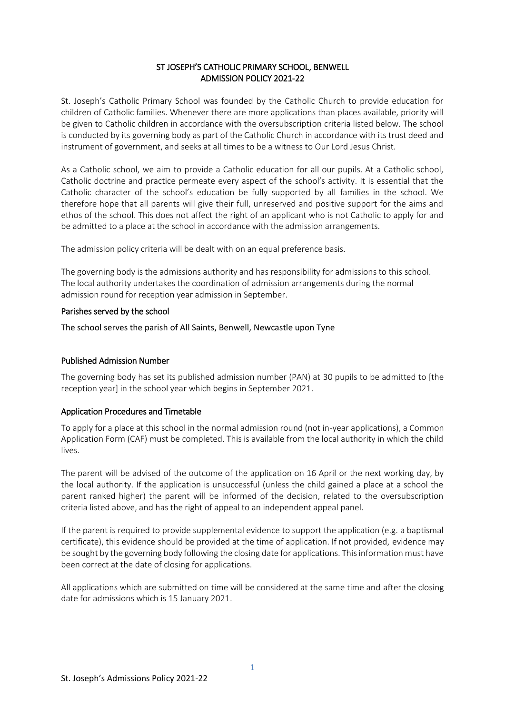### ST JOSEPH'S CATHOLIC PRIMARY SCHOOL, BENWELL ADMISSION POLICY 2021-22

St. Joseph's Catholic Primary School was founded by the Catholic Church to provide education for children of Catholic families. Whenever there are more applications than places available, priority will be given to Catholic children in accordance with the oversubscription criteria listed below. The school is conducted by its governing body as part of the Catholic Church in accordance with its trust deed and instrument of government, and seeks at all times to be a witness to Our Lord Jesus Christ.

As a Catholic school, we aim to provide a Catholic education for all our pupils. At a Catholic school, Catholic doctrine and practice permeate every aspect of the school's activity. It is essential that the Catholic character of the school's education be fully supported by all families in the school. We therefore hope that all parents will give their full, unreserved and positive support for the aims and ethos of the school. This does not affect the right of an applicant who is not Catholic to apply for and be admitted to a place at the school in accordance with the admission arrangements.

The admission policy criteria will be dealt with on an equal preference basis.

The governing body is the admissions authority and has responsibility for admissions to this school. The local authority undertakes the coordination of admission arrangements during the normal admission round for reception year admission in September.

### Parishes served by the school

The school serves the parish of All Saints, Benwell, Newcastle upon Tyne

# Published Admission Number

The governing body has set its published admission number (PAN) at 30 pupils to be admitted to [the reception year] in the school year which begins in September 2021.

# Application Procedures and Timetable

To apply for a place at this school in the normal admission round (not in-year applications), a Common Application Form (CAF) must be completed. This is available from the local authority in which the child lives.

The parent will be advised of the outcome of the application on 16 April or the next working day, by the local authority. If the application is unsuccessful (unless the child gained a place at a school the parent ranked higher) the parent will be informed of the decision, related to the oversubscription criteria listed above, and has the right of appeal to an independent appeal panel.

If the parent is required to provide supplemental evidence to support the application (e.g. a baptismal certificate), this evidence should be provided at the time of application. If not provided, evidence may be sought by the governing body following the closing date for applications. This information must have been correct at the date of closing for applications.

All applications which are submitted on time will be considered at the same time and after the closing date for admissions which is 15 January 2021.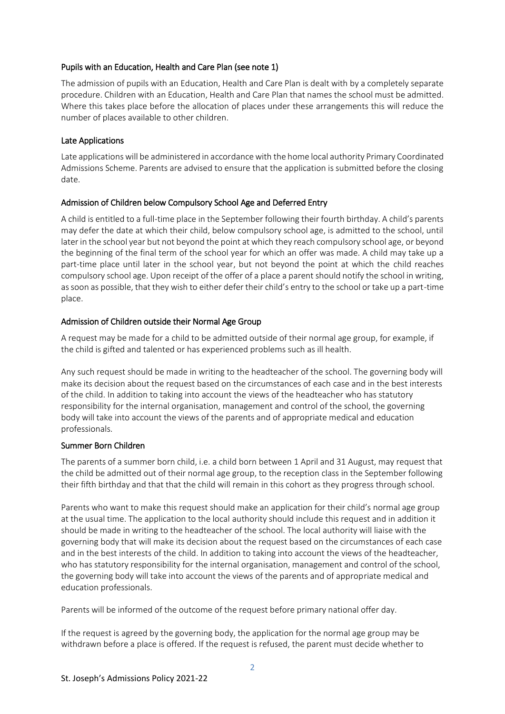### Pupils with an Education, Health and Care Plan (see note 1)

The admission of pupils with an Education, Health and Care Plan is dealt with by a completely separate procedure. Children with an Education, Health and Care Plan that names the school must be admitted. Where this takes place before the allocation of places under these arrangements this will reduce the number of places available to other children.

# Late Applications

Late applications will be administered in accordance with the home local authority Primary Coordinated Admissions Scheme. Parents are advised to ensure that the application is submitted before the closing date.

# Admission of Children below Compulsory School Age and Deferred Entry

A child is entitled to a full-time place in the September following their fourth birthday. A child's parents may defer the date at which their child, below compulsory school age, is admitted to the school, until later in the school year but not beyond the point at which they reach compulsory school age, or beyond the beginning of the final term of the school year for which an offer was made. A child may take up a part-time place until later in the school year, but not beyond the point at which the child reaches compulsory school age. Upon receipt of the offer of a place a parent should notify the school in writing, as soon as possible, that they wish to either defer their child's entry to the school or take up a part-time place.

### Admission of Children outside their Normal Age Group

A request may be made for a child to be admitted outside of their normal age group, for example, if the child is gifted and talented or has experienced problems such as ill health.

Any such request should be made in writing to the headteacher of the school. The governing body will make its decision about the request based on the circumstances of each case and in the best interests of the child. In addition to taking into account the views of the headteacher who has statutory responsibility for the internal organisation, management and control of the school, the governing body will take into account the views of the parents and of appropriate medical and education professionals.

#### Summer Born Children

The parents of a summer born child, i.e. a child born between 1 April and 31 August, may request that the child be admitted out of their normal age group, to the reception class in the September following their fifth birthday and that that the child will remain in this cohort as they progress through school.

Parents who want to make this request should make an application for their child's normal age group at the usual time. The application to the local authority should include this request and in addition it should be made in writing to the headteacher of the school. The local authority will liaise with the governing body that will make its decision about the request based on the circumstances of each case and in the best interests of the child. In addition to taking into account the views of the headteacher, who has statutory responsibility for the internal organisation, management and control of the school, the governing body will take into account the views of the parents and of appropriate medical and education professionals.

Parents will be informed of the outcome of the request before primary national offer day.

If the request is agreed by the governing body, the application for the normal age group may be withdrawn before a place is offered. If the request is refused, the parent must decide whether to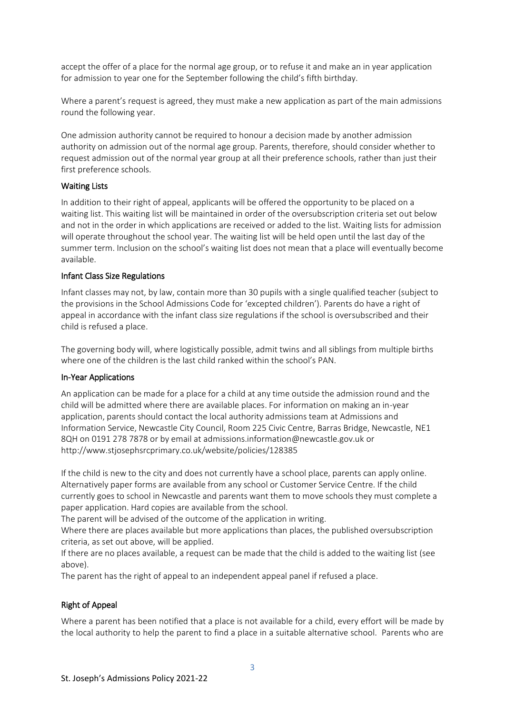accept the offer of a place for the normal age group, or to refuse it and make an in year application for admission to year one for the September following the child's fifth birthday.

Where a parent's request is agreed, they must make a new application as part of the main admissions round the following year.

One admission authority cannot be required to honour a decision made by another admission authority on admission out of the normal age group. Parents, therefore, should consider whether to request admission out of the normal year group at all their preference schools, rather than just their first preference schools.

#### Waiting Lists

In addition to their right of appeal, applicants will be offered the opportunity to be placed on a waiting list. This waiting list will be maintained in order of the oversubscription criteria set out below and not in the order in which applications are received or added to the list. Waiting lists for admission will operate throughout the school year. The waiting list will be held open until the last day of the summer term. Inclusion on the school's waiting list does not mean that a place will eventually become available.

#### Infant Class Size Regulations

Infant classes may not, by law, contain more than 30 pupils with a single qualified teacher (subject to the provisions in the School Admissions Code for 'excepted children'). Parents do have a right of appeal in accordance with the infant class size regulations if the school is oversubscribed and their child is refused a place.

The governing body will, where logistically possible, admit twins and all siblings from multiple births where one of the children is the last child ranked within the school's PAN.

#### In-Year Applications

An application can be made for a place for a child at any time outside the admission round and the child will be admitted where there are available places. For information on making an in-year application, parents should contact the local authority admissions team at Admissions and Information Service, Newcastle City Council, Room 225 Civic Centre, Barras Bridge, Newcastle, NE1 8QH on 0191 278 7878 or by email at admissions.information@newcastle.gov.uk or http://www.stjosephsrcprimary.co.uk/website/policies/128385

If the child is new to the city and does not currently have a school place, parents can apply online. Alternatively paper forms are available from any school or Customer Service Centre. If the child currently goes to school in Newcastle and parents want them to move schools they must complete a paper application. Hard copies are available from the school.

The parent will be advised of the outcome of the application in writing.

Where there are places available but more applications than places, the published oversubscription criteria, as set out above, will be applied.

If there are no places available, a request can be made that the child is added to the waiting list (see above).

The parent has the right of appeal to an independent appeal panel if refused a place.

# Right of Appeal

Where a parent has been notified that a place is not available for a child, every effort will be made by the local authority to help the parent to find a place in a suitable alternative school. Parents who are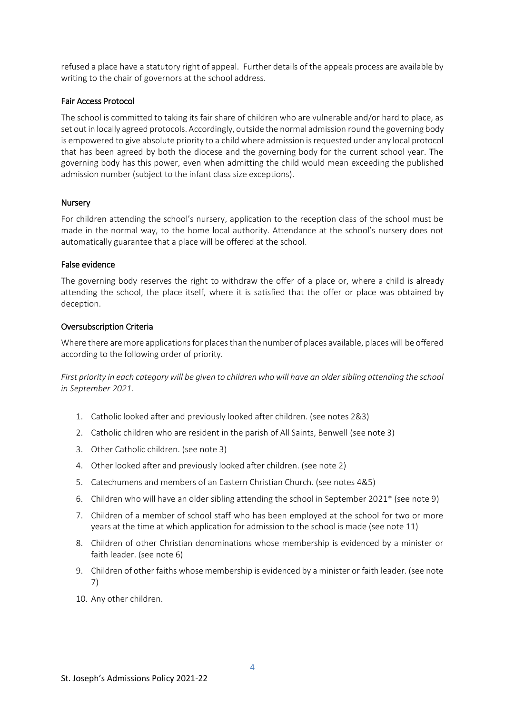refused a place have a statutory right of appeal. Further details of the appeals process are available by writing to the chair of governors at the school address.

#### Fair Access Protocol

The school is committed to taking its fair share of children who are vulnerable and/or hard to place, as set out in locally agreed protocols. Accordingly, outside the normal admission round the governing body is empowered to give absolute priority to a child where admission is requested under any local protocol that has been agreed by both the diocese and the governing body for the current school year. The governing body has this power, even when admitting the child would mean exceeding the published admission number (subject to the infant class size exceptions).

### Nursery

For children attending the school's nursery, application to the reception class of the school must be made in the normal way, to the home local authority. Attendance at the school's nursery does not automatically guarantee that a place will be offered at the school.

#### False evidence

The governing body reserves the right to withdraw the offer of a place or, where a child is already attending the school, the place itself, where it is satisfied that the offer or place was obtained by deception.

### Oversubscription Criteria

Where there are more applications for places than the number of places available, places will be offered according to the following order of priority.

*First priority in each category will be given to children who will have an older sibling attending the school in September 2021.*

- 1. Catholic looked after and previously looked after children. (see notes 2&3)
- 2. Catholic children who are resident in the parish of All Saints, Benwell (see note 3)
- 3. Other Catholic children. (see note 3)
- 4. Other looked after and previously looked after children. (see note 2)
- 5. Catechumens and members of an Eastern Christian Church. (see notes 4&5)
- 6. Children who will have an older sibling attending the school in September 2021\* (see note 9)
- 7. Children of a member of school staff who has been employed at the school for two or more years at the time at which application for admission to the school is made (see note 11)
- 8. Children of other Christian denominations whose membership is evidenced by a minister or faith leader. (see note 6)
- 9. Children of other faiths whose membership is evidenced by a minister or faith leader. (see note 7)
- 10. Any other children.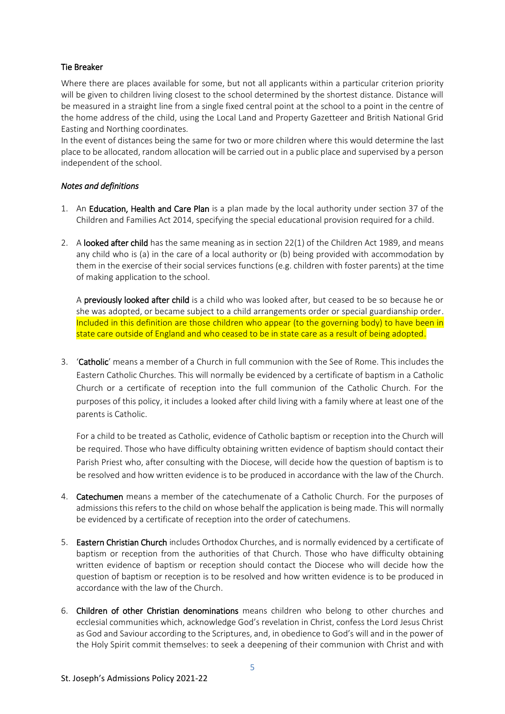# Tie Breaker

Where there are places available for some, but not all applicants within a particular criterion priority will be given to children living closest to the school determined by the shortest distance. Distance will be measured in a straight line from a single fixed central point at the school to a point in the centre of the home address of the child, using the Local Land and Property Gazetteer and British National Grid Easting and Northing coordinates.

In the event of distances being the same for two or more children where this would determine the last place to be allocated, random allocation will be carried out in a public place and supervised by a person independent of the school.

# *Notes and definitions*

- 1. An Education, Health and Care Plan is a plan made by the local authority under section 37 of the Children and Families Act 2014, specifying the special educational provision required for a child.
- 2. A looked after child has the same meaning as in section 22(1) of the Children Act 1989, and means any child who is (a) in the care of a local authority or (b) being provided with accommodation by them in the exercise of their social services functions (e.g. children with foster parents) at the time of making application to the school.

A previously looked after child is a child who was looked after, but ceased to be so because he or she was adopted, or became subject to a child arrangements order or special guardianship order. Included in this definition are those children who appear (to the governing body) to have been in state care outside of England and who ceased to be in state care as a result of being adopted.

3. 'Catholic' means a member of a Church in full communion with the See of Rome. This includes the Eastern Catholic Churches. This will normally be evidenced by a certificate of baptism in a Catholic Church or a certificate of reception into the full communion of the Catholic Church. For the purposes of this policy, it includes a looked after child living with a family where at least one of the parents is Catholic.

For a child to be treated as Catholic, evidence of Catholic baptism or reception into the Church will be required. Those who have difficulty obtaining written evidence of baptism should contact their Parish Priest who, after consulting with the Diocese, will decide how the question of baptism is to be resolved and how written evidence is to be produced in accordance with the law of the Church.

- 4. Catechumen means a member of the catechumenate of a Catholic Church. For the purposes of admissions this refers to the child on whose behalf the application is being made. This will normally be evidenced by a certificate of reception into the order of catechumens.
- 5. Eastern Christian Church includes Orthodox Churches, and is normally evidenced by a certificate of baptism or reception from the authorities of that Church. Those who have difficulty obtaining written evidence of baptism or reception should contact the Diocese who will decide how the question of baptism or reception is to be resolved and how written evidence is to be produced in accordance with the law of the Church.
- 6. Children of other Christian denominations means children who belong to other churches and ecclesial communities which, acknowledge God's revelation in Christ, confess the Lord Jesus Christ as God and Saviour according to the Scriptures, and, in obedience to God's will and in the power of the Holy Spirit commit themselves: to seek a deepening of their communion with Christ and with